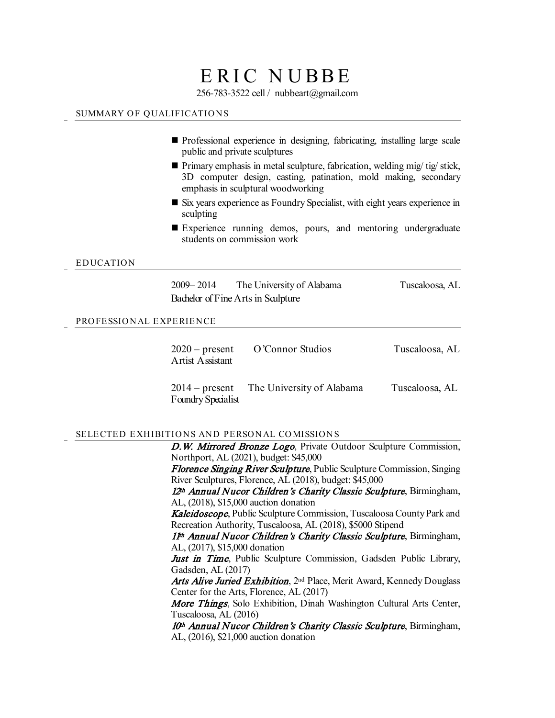# ERIC NUBBE

256-783-3522 cell / nubbeart@gmail.com

# SUMMARY OF QUALIFICATIONS

- Professional experience in designing, fabricating, installing large scale public and private sculptures
- Primary emphasis in metal sculpture, fabrication, welding mig/ tig/ stick, 3D computer design, casting, patination, mold making, secondary emphasis in sculptural woodworking
- Six years experience as Foundry Specialist, with eight years experience in sculpting
- Experience running demos, pours, and mentoring undergraduate students on commission work

### EDUCATION

2009– 2014 The University of Alabama Tuscaloosa, AL Bachelor of Fine Arts in Sculpture

## PROFESSIONAL EXPERIENCE

| $2020$ – present<br>Artist Assistant | O'Connor Studios                         | Tuscaloosa, AL |
|--------------------------------------|------------------------------------------|----------------|
| Foundry Specialist                   | 2014 – present The University of Alabama | Tuscaloosa, AL |

#### SELECTED EXHIBITIONS AND PERSONAL COMISSIONS

D.W. Mirrored Bronze Logo, Private Outdoor Sculpture Commission, Northport, AL (2021), budget: \$45,000

Florence Singing River Sculpture, Public Sculpture Commission, Singing River Sculptures, Florence, AL (2018), budget: \$45,000

12<sup>th</sup> Annual Nucor Children's Charity Classic Sculpture, Birmingham, AL, (2018), \$15,000 auction donation

Kaleidoscope, Public Sculpture Commission, Tuscaloosa County Park and Recreation Authority, Tuscaloosa, AL (2018), \$5000 Stipend

1<sup>th</sup> Annual Nucor Children's Charity Classic Sculpture, Birmingham, AL, (2017), \$15,000 donation

Just in Time, Public Sculpture Commission, Gadsden Public Library, Gadsden, AL (2017)

Arts Alive Juried Exhibition, 2<sup>nd</sup> Place, Merit Award, Kennedy Douglass Center for the Arts, Florence, AL (2017)

More Things, Solo Exhibition, Dinah Washington Cultural Arts Center, Tuscaloosa, AL (2016)

10<sup>th</sup> Annual Nucor Children's Charity Classic Sculpture, Birmingham, AL, (2016), \$21,000 auction donation